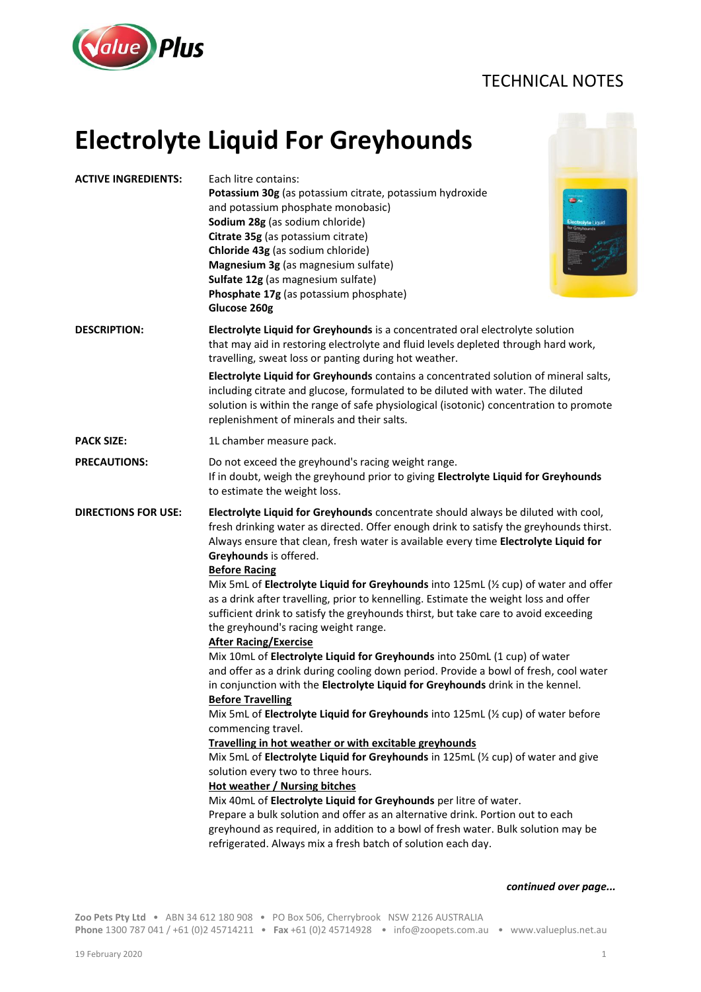## TECHNICAL NOTES



## **Electrolyte Liquid For Greyhounds**

| <b>ACTIVE INGREDIENTS:</b> | Each litre contains:<br>Potassium 30g (as potassium citrate, potassium hydroxide<br>and potassium phosphate monobasic)<br>Sodium 28g (as sodium chloride)<br>Citrate 35g (as potassium citrate)<br>Chloride 43g (as sodium chloride)<br>Magnesium 3g (as magnesium sulfate)<br>Sulfate 12g (as magnesium sulfate)<br>Phosphate 17g (as potassium phosphate)<br>Glucose 260g                                                                                                                                                                                                                                                                                                                                                                                                                                                                                                                                                                                                                                                                                                                                                                                                                                                                                                                                                                                                                                                                                                                                                                                                                                 | œ.<br>Electrolyte Liquid |  |
|----------------------------|-------------------------------------------------------------------------------------------------------------------------------------------------------------------------------------------------------------------------------------------------------------------------------------------------------------------------------------------------------------------------------------------------------------------------------------------------------------------------------------------------------------------------------------------------------------------------------------------------------------------------------------------------------------------------------------------------------------------------------------------------------------------------------------------------------------------------------------------------------------------------------------------------------------------------------------------------------------------------------------------------------------------------------------------------------------------------------------------------------------------------------------------------------------------------------------------------------------------------------------------------------------------------------------------------------------------------------------------------------------------------------------------------------------------------------------------------------------------------------------------------------------------------------------------------------------------------------------------------------------|--------------------------|--|
| <b>DESCRIPTION:</b>        | Electrolyte Liquid for Greyhounds is a concentrated oral electrolyte solution<br>that may aid in restoring electrolyte and fluid levels depleted through hard work,<br>travelling, sweat loss or panting during hot weather.                                                                                                                                                                                                                                                                                                                                                                                                                                                                                                                                                                                                                                                                                                                                                                                                                                                                                                                                                                                                                                                                                                                                                                                                                                                                                                                                                                                |                          |  |
|                            | Electrolyte Liquid for Greyhounds contains a concentrated solution of mineral salts,<br>including citrate and glucose, formulated to be diluted with water. The diluted<br>solution is within the range of safe physiological (isotonic) concentration to promote<br>replenishment of minerals and their salts.                                                                                                                                                                                                                                                                                                                                                                                                                                                                                                                                                                                                                                                                                                                                                                                                                                                                                                                                                                                                                                                                                                                                                                                                                                                                                             |                          |  |
| <b>PACK SIZE:</b>          | 1L chamber measure pack.                                                                                                                                                                                                                                                                                                                                                                                                                                                                                                                                                                                                                                                                                                                                                                                                                                                                                                                                                                                                                                                                                                                                                                                                                                                                                                                                                                                                                                                                                                                                                                                    |                          |  |
| <b>PRECAUTIONS:</b>        | Do not exceed the greyhound's racing weight range.<br>If in doubt, weigh the greyhound prior to giving Electrolyte Liquid for Greyhounds<br>to estimate the weight loss.                                                                                                                                                                                                                                                                                                                                                                                                                                                                                                                                                                                                                                                                                                                                                                                                                                                                                                                                                                                                                                                                                                                                                                                                                                                                                                                                                                                                                                    |                          |  |
| <b>DIRECTIONS FOR USE:</b> | Electrolyte Liquid for Greyhounds concentrate should always be diluted with cool,<br>fresh drinking water as directed. Offer enough drink to satisfy the greyhounds thirst.<br>Always ensure that clean, fresh water is available every time Electrolyte Liquid for<br>Greyhounds is offered.<br><b>Before Racing</b><br>Mix 5mL of Electrolyte Liquid for Greyhounds into 125mL (1/2 cup) of water and offer<br>as a drink after travelling, prior to kennelling. Estimate the weight loss and offer<br>sufficient drink to satisfy the greyhounds thirst, but take care to avoid exceeding<br>the greyhound's racing weight range.<br><b>After Racing/Exercise</b><br>Mix 10mL of Electrolyte Liquid for Greyhounds into 250mL (1 cup) of water<br>and offer as a drink during cooling down period. Provide a bowl of fresh, cool water<br>in conjunction with the Electrolyte Liquid for Greyhounds drink in the kennel.<br><b>Before Travelling</b><br>Mix 5mL of Electrolyte Liquid for Greyhounds into 125mL (1/2 cup) of water before<br>commencing travel.<br>Travelling in hot weather or with excitable greyhounds<br>Mix 5mL of Electrolyte Liquid for Greyhounds in 125mL (1/2 cup) of water and give<br>solution every two to three hours.<br><b>Hot weather / Nursing bitches</b><br>Mix 40mL of Electrolyte Liquid for Greyhounds per litre of water.<br>Prepare a bulk solution and offer as an alternative drink. Portion out to each<br>greyhound as required, in addition to a bowl of fresh water. Bulk solution may be<br>refrigerated. Always mix a fresh batch of solution each day. |                          |  |

## *continued over page...*